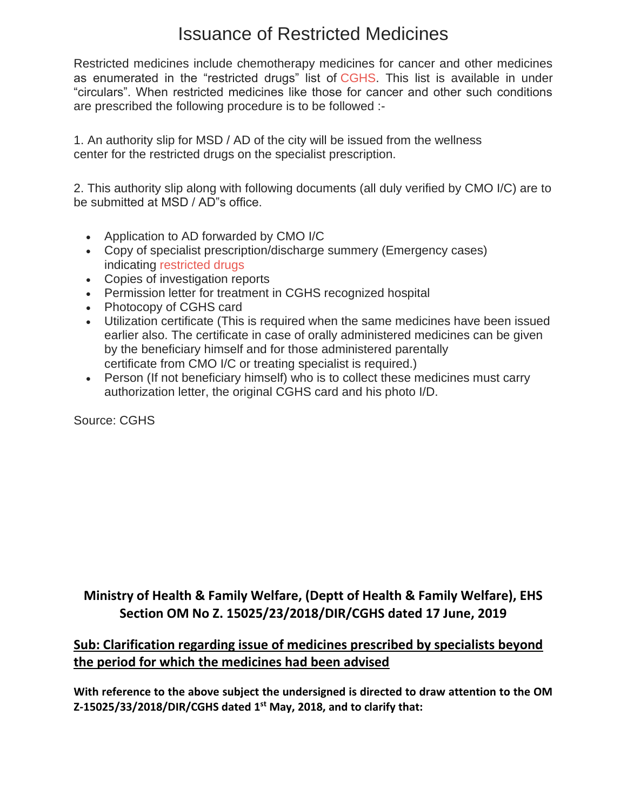## Issuance of Restricted Medicines

Restricted medicines include chemotherapy medicines for cancer and other medicines as enumerated in the "restricted drugs" list of [CGHS.](https://7thpaycommissionnews.in/central-government-health-scheme-cghs/) This list is available in under "circulars". When restricted medicines like those for cancer and other such conditions are prescribed the following procedure is to be followed :-

1. An authority slip for MSD / AD of the city will be issued from the wellness center for the restricted drugs on the specialist prescription.

2. This authority slip along with following documents (all duly verified by CMO I/C) are to be submitted at MSD / AD"s office.

- Application to AD forwarded by CMO I/C
- Copy of specialist prescription/discharge summery (Emergency cases) indicating [restricted drugs](https://7thpaycommissionnews.in/cghs-removal-of-medicines-from-cghs-list-life-saving-medicines-reg/)
- Copies of investigation reports
- Permission letter for treatment in CGHS recognized hospital
- Photocopy of CGHS card
- Utilization certificate (This is required when the same medicines have been issued earlier also. The certificate in case of orally administered medicines can be given by the beneficiary himself and for those administered parentally certificate from CMO I/C or treating specialist is required.)
- Person (If not beneficiary himself) who is to collect these medicines must carry authorization letter, the original CGHS card and his photo I/D.

Source: CGHS

## **Ministry of Health & Family Welfare, (Deptt of Health & Family Welfare), EHS Section OM No Z. 15025/23/2018/DIR/CGHS dated 17 June, 2019**

## **Sub: Clarification regarding issue of medicines prescribed by specialists beyond the period for which the medicines had been advised**

**With reference to the above subject the undersigned is directed to draw attention to the OM Z-15025/33/2018/DIR/CGHS dated 1st May, 2018, and to clarify that:**